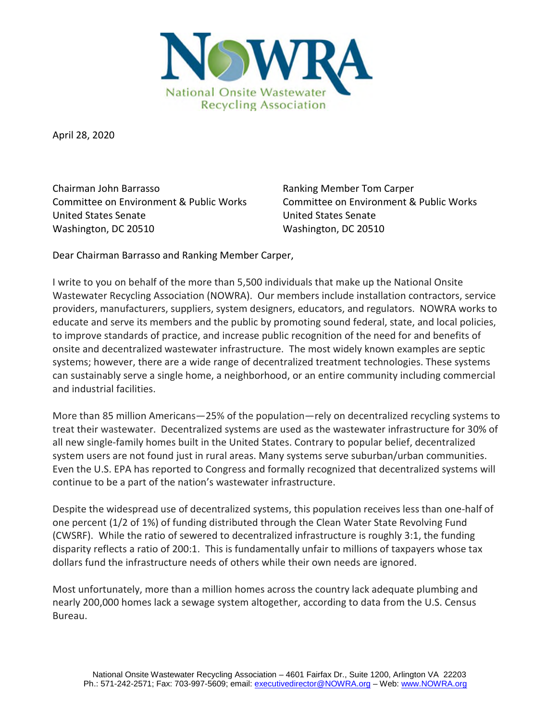

April 28, 2020

Chairman John Barrasso Ranking Member Tom Carper Committee on Environment & Public Works Committee on Environment & Public Works United States Senate United States Senate Washington, DC 20510 Washington, DC 20510

Dear Chairman Barrasso and Ranking Member Carper,

I write to you on behalf of the more than 5,500 individuals that make up the National Onsite Wastewater Recycling Association (NOWRA). Our members include installation contractors, service providers, manufacturers, suppliers, system designers, educators, and regulators. NOWRA works to educate and serve its members and the public by promoting sound federal, state, and local policies, to improve standards of practice, and increase public recognition of the need for and benefits of onsite and decentralized wastewater infrastructure. The most widely known examples are septic systems; however, there are a wide range of decentralized treatment technologies. These systems can sustainably serve a single home, a neighborhood, or an entire community including commercial and industrial facilities.

More than 85 million Americans—25% of the population—rely on decentralized recycling systems to treat their wastewater. Decentralized systems are used as the wastewater infrastructure for 30% of all new single-family homes built in the United States. Contrary to popular belief, decentralized system users are not found just in rural areas. Many systems serve suburban/urban communities. Even the U.S. EPA has reported to Congress and formally recognized that decentralized systems will continue to be a part of the nation's wastewater infrastructure.

Despite the widespread use of decentralized systems, this population receives less than one-half of one percent (1/2 of 1%) of funding distributed through the Clean Water State Revolving Fund (CWSRF). While the ratio of sewered to decentralized infrastructure is roughly 3:1, the funding disparity reflects a ratio of 200:1. This is fundamentally unfair to millions of taxpayers whose tax dollars fund the infrastructure needs of others while their own needs are ignored.

Most unfortunately, more than a million homes across the country lack adequate plumbing and nearly 200,000 homes lack a sewage system altogether, according to data from the U.S. Census Bureau.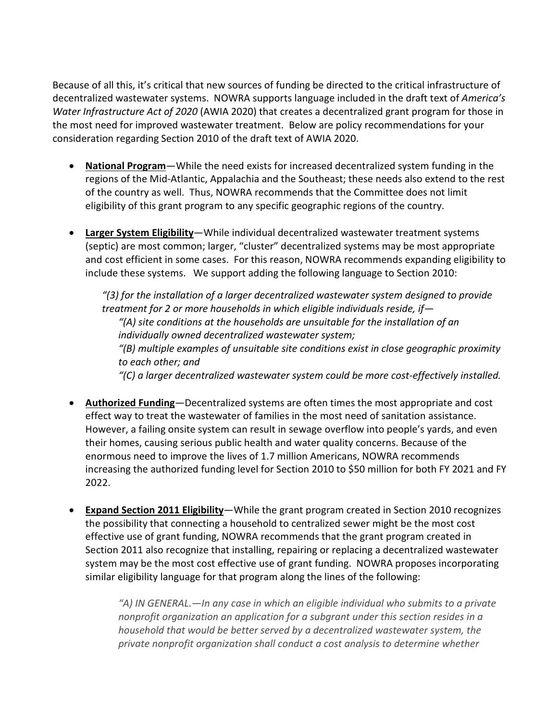Because of all this, it's critical that new sources of funding be directed to the critical infrastructure of decentralized wastewater systems. NOWRA supports language included in the draft text of *America's Water Infrastructure Act of 2020* (AWIA 2020) that creates a decentralized grant program for those in the most need for improved wastewater treatment. Below are policy recommendations for your consideration regarding Section 2010 of the draft text of AWIA 2020.

- **National Program**—While the need exists for increased decentralized system funding in the regions of the Mid-Atlantic, Appalachia and the Southeast; these needs also extend to the rest of the country as well. Thus, NOWRA recommends that the Committee does not limit eligibility of this grant program to any specific geographic regions of the country.
- **Larger System Eligibility**—While individual decentralized wastewater treatment systems (septic) are most common; larger, "cluster" decentralized systems may be most appropriate and cost efficient in some cases. For this reason, NOWRA recommends expanding eligibility to include these systems. We support adding the following language to Section 2010:

*"(3) for the installation of a larger decentralized wastewater system designed to provide treatment for 2 or more households in which eligible individuals reside, if— "(A) site conditions at the households are unsuitable for the installation of an individually owned decentralized wastewater system; "(B) multiple examples of unsuitable site conditions exist in close geographic proximity to each other; and "(C) a larger decentralized wastewater system could be more cost-effectively installed.* 

- **Authorized Funding**—Decentralized systems are often times the most appropriate and cost effect way to treat the wastewater of families in the most need of sanitation assistance. However, a failing onsite system can result in sewage overflow into people's yards, and even their homes, causing serious public health and water quality concerns. Because of the enormous need to improve the lives of 1.7 million Americans, NOWRA recommends increasing the authorized funding level for Section 2010 to \$50 million for both FY 2021 and FY 2022.
- **Expand Section 2011 Eligibility**—While the grant program created in Section 2010 recognizes the possibility that connecting a household to centralized sewer might be the most cost effective use of grant funding, NOWRA recommends that the grant program created in Section 2011 also recognize that installing, repairing or replacing a decentralized wastewater system may be the most cost effective use of grant funding. NOWRA proposes incorporating similar eligibility language for that program along the lines of the following:

*"A) IN GENERAL.—In any case in which an eligible individual who submits to a private nonprofit organization an application for a subgrant under this section resides in a household that would be better served by a decentralized wastewater system, the private nonprofit organization shall conduct a cost analysis to determine whether*